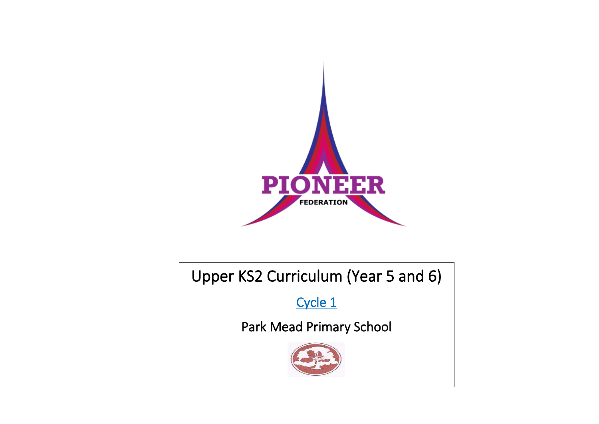

# Upper KS2 Curriculum (Year 5 and 6)

Cycle 1

Park Mead Primary School

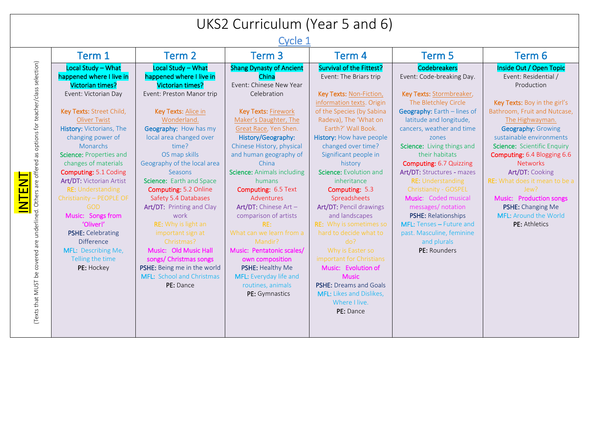## UKS2 Curriculum (Year 5 and 6)

Cycle 1

|                                                                                                                                                  | Term 1                                                                                                                                                                                                                                                                                                                                                                                                                                                                                                                               | Term 2                                                                                                                                                                                                                                                                                                                                                                                                                                                                                                                                                                | Term 3                                                                                                                                                                                                                                                                                                                                                                                                                                                                                                                                                                     | Term 4                                                                                                                                                                                                                                                                                                                                                                                                                                                                                                                                                                                                                                                                  | Term 5                                                                                                                                                                                                                                                                                                                                                                                                                                                                                                                                        | Term 6                                                                                                                                                                                                                                                                                                                                                                                                                                                  |
|--------------------------------------------------------------------------------------------------------------------------------------------------|--------------------------------------------------------------------------------------------------------------------------------------------------------------------------------------------------------------------------------------------------------------------------------------------------------------------------------------------------------------------------------------------------------------------------------------------------------------------------------------------------------------------------------------|-----------------------------------------------------------------------------------------------------------------------------------------------------------------------------------------------------------------------------------------------------------------------------------------------------------------------------------------------------------------------------------------------------------------------------------------------------------------------------------------------------------------------------------------------------------------------|----------------------------------------------------------------------------------------------------------------------------------------------------------------------------------------------------------------------------------------------------------------------------------------------------------------------------------------------------------------------------------------------------------------------------------------------------------------------------------------------------------------------------------------------------------------------------|-------------------------------------------------------------------------------------------------------------------------------------------------------------------------------------------------------------------------------------------------------------------------------------------------------------------------------------------------------------------------------------------------------------------------------------------------------------------------------------------------------------------------------------------------------------------------------------------------------------------------------------------------------------------------|-----------------------------------------------------------------------------------------------------------------------------------------------------------------------------------------------------------------------------------------------------------------------------------------------------------------------------------------------------------------------------------------------------------------------------------------------------------------------------------------------------------------------------------------------|---------------------------------------------------------------------------------------------------------------------------------------------------------------------------------------------------------------------------------------------------------------------------------------------------------------------------------------------------------------------------------------------------------------------------------------------------------|
| (Texts that MUST be covered are underlined. Others are offered as options for teacher/class selection)<br><b>TENT</b><br>$\overline{\mathsf{M}}$ | Local Study - What<br>happened where I live in<br>Victorian times?<br>Event: Victorian Day<br>Key Texts: Street Child,<br><b>Oliver Twist</b><br>History: Victorians, The<br>changing power of<br>Monarchs<br>Science: Properties and<br>changes of materials<br><b>Computing: 5.1 Coding</b><br>Art/DT: Victorian Artist<br><b>RE: Understanding</b><br>Christianity - PEOPLE OF<br><b>GOD</b><br>Music: Songs from<br>'Oliver!'<br>PSHE: Celebrating<br><b>Difference</b><br>MFL: Describing Me,<br>Telling the time<br>PE: Hockey | Local Study - What<br>happened where I live in<br>Victorian times?<br>Event: Preston Manor trip<br>Key Texts: Alice in<br>Wonderland.<br>Geography: How has my<br>local area changed over<br>time?<br>OS map skills<br>Geography of the local area<br>Seasons<br>Science: Earth and Space<br>Computing: 5.2 Online<br>Safety 5.4 Databases<br>Art/DT: Printing and Clay<br>work<br>RE: Why is light an<br>important sign at<br>Christmas?<br>Music: Old Music Hall<br>songs/ Christmas songs<br>PSHE: Being me in the world<br>MFL: School and Christmas<br>PE: Dance | <b>Shang Dynasty of Ancient</b><br>China<br>Event: Chinese New Year<br>Celebration<br><b>Key Texts: Firework</b><br>Maker's Daughter, The<br>Great Race, Yen Shen.<br>History/Geography:<br>Chinese History, physical<br>and human geography of<br>China<br>Science: Animals including<br>humans<br>Computing: 6.5 Text<br>Adventures<br>Art/DT: Chinese Art -<br>comparison of artists<br>RE:<br>What can we learn from a<br>Mandir?<br>Music: Pentatonic scales/<br>own composition<br>PSHE: Healthy Me<br>MFL: Everyday life and<br>routines, animals<br>PE: Gymnastics | <b>Survival of the Fittest?</b><br>Event: The Briars trip<br>Key Texts: Non-Fiction,<br>information texts. Origin<br>of the Species (by Sabina<br>Radeva), The 'What on<br>Earth?' Wall Book.<br>History: How have people<br>changed over time?<br>Significant people in<br>history<br>Science: Evolution and<br>inheritance<br>Computing: 5.3<br>Spreadsheets<br><b>Art/DT: Pencil drawings</b><br>and landscapes<br>RE: Why is sometimes so<br>hard to decide what to<br>do?<br>Why is Easter so<br>important for Christians<br>Music: Evolution of<br><b>Music</b><br><b>PSHE:</b> Dreams and Goals<br><b>MFL:</b> Likes and Dislikes,<br>Where I live.<br>PE: Dance | <b>Codebreakers</b><br>Event: Code-breaking Day.<br>Key Texts: Stormbreaker,<br>The Bletchley Circle<br>Geography: Earth - lines of<br>latitude and longitude,<br>cancers, weather and time<br>zones<br>Science: Living things and<br>their habitats<br><b>Computing: 6.7 Quizzing</b><br>Art/DT: Structures - mazes<br><b>RE: Understanding</b><br>Christianity - GOSPEL<br>Music: Coded musical<br>messages/ notation<br>PSHE: Relationships<br><b>MFL:</b> Tenses - Future and<br>past. Masculine, feminine<br>and plurals<br>PE: Rounders | Inside Out / Open Topic<br>Event: Residential /<br>Production<br>Key Texts: Boy in the girl's<br>Bathroom, Fruit and Nutcase,<br>The Highwayman.<br><b>Geography: Growing</b><br>sustainable environments<br>Science: Scientific Enquiry<br>Computing: 6.4 Blogging 6.6<br><b>Networks</b><br>Art/DT: Cooking<br>RE: What does it mean to be a<br>Jew?<br>Music: Production songs<br>PSHE: Changing Me<br><b>MFL: Around the World</b><br>PE: Athletics |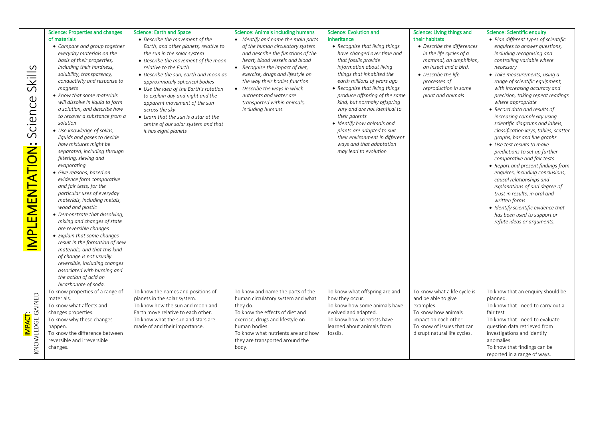|                                                                 | Science: Properties and changes                                                                                                                                                                                                                                                                                                                                                                                                                                                                                                                                                                                                                                                                                                                                                                                                                                                                                                                                                                                                            | <b>Science: Earth and Space</b>                                                                                                                                                                                                                                                                                                                                                                                                                                                           | <b>Science: Animals including humans</b>                                                                                                                                                                                                                                                                                                                            | Science: Evolution and                                                                                                                                                                                                                                                                                                                                                                                                                                                                              | Science: Living things and                                                                                                                                                                                    | Science: Scientific enquiry                                                                                                                                                                                                                                                                                                                                                                                                                                                                                                                                                                                                                                                                                                                                                                                                                                                  |
|-----------------------------------------------------------------|--------------------------------------------------------------------------------------------------------------------------------------------------------------------------------------------------------------------------------------------------------------------------------------------------------------------------------------------------------------------------------------------------------------------------------------------------------------------------------------------------------------------------------------------------------------------------------------------------------------------------------------------------------------------------------------------------------------------------------------------------------------------------------------------------------------------------------------------------------------------------------------------------------------------------------------------------------------------------------------------------------------------------------------------|-------------------------------------------------------------------------------------------------------------------------------------------------------------------------------------------------------------------------------------------------------------------------------------------------------------------------------------------------------------------------------------------------------------------------------------------------------------------------------------------|---------------------------------------------------------------------------------------------------------------------------------------------------------------------------------------------------------------------------------------------------------------------------------------------------------------------------------------------------------------------|-----------------------------------------------------------------------------------------------------------------------------------------------------------------------------------------------------------------------------------------------------------------------------------------------------------------------------------------------------------------------------------------------------------------------------------------------------------------------------------------------------|---------------------------------------------------------------------------------------------------------------------------------------------------------------------------------------------------------------|------------------------------------------------------------------------------------------------------------------------------------------------------------------------------------------------------------------------------------------------------------------------------------------------------------------------------------------------------------------------------------------------------------------------------------------------------------------------------------------------------------------------------------------------------------------------------------------------------------------------------------------------------------------------------------------------------------------------------------------------------------------------------------------------------------------------------------------------------------------------------|
| Skills<br>Science<br><u>ÖÖ</u><br><u>іТд</u><br><b>MPLEMENT</b> | of materials<br>• Compare and group together<br>everyday materials on the<br>basis of their properties,<br>including their hardness,<br>solubility, transparency,<br>conductivity and response to<br>magnets<br>• Know that some materials<br>will dissolve in liquid to form<br>a solution, and describe how<br>to recover a substance from a<br>solution<br>• Use knowledge of solids,<br>liquids and gases to decide<br>how mixtures might be<br>separated, including through<br>filtering, sieving and<br>evaporating<br>· Give reasons, based on<br>evidence form comparative<br>and fair tests, for the<br>particular uses of everyday<br>materials, including metals,<br>wood and plastic<br>• Demonstrate that dissolving,<br>mixing and changes of state<br>are reversible changes<br>• Explain that some changes<br>result in the formation of new<br>materials, and that this kind<br>of change is not usually<br>reversible, including changes<br>associated with burning and<br>the action of acid on<br>bicarbonate of soda. | • Describe the movement of the<br>Earth, and other planets, relative to<br>the sun in the solar system<br>• Describe the movement of the moon<br>relative to the Earth<br>• Describe the sun, earth and moon as<br>approximately spherical bodies<br>• Use the idea of the Earth's rotation<br>to explain day and night and the<br>apparent movement of the sun<br>across the sky<br>• Learn that the sun is a star at the<br>centre of our solar system and that<br>it has eight planets | • Identify and name the main parts<br>of the human circulatory system<br>and describe the functions of the<br>heart, blood vessels and blood<br>• Recognise the impact of diet,<br>exercise, drugs and lifestyle on<br>the way their bodies function<br>• Describe the ways in which<br>nutrients and water are<br>transported within animals,<br>including humans. | inheritance<br>• Recognise that living things<br>have changed over time and<br>that fossils provide<br>information about living<br>things that inhabited the<br>earth millions of years ago<br>• Recognise that living things<br>produce offspring of the same<br>kind, but normally offspring<br>vary and are not identical to<br>their parents<br>· Identify how animals and<br>plants are adapted to suit<br>their environment in different<br>ways and that adaptation<br>may lead to evolution | their habitats<br>• Describe the differences<br>in the life cycles of a<br>mammal, an amphibian,<br>an insect and a bird.<br>• Describe the life<br>processes of<br>reproduction in some<br>plant and animals | • Plan different types of scientific<br>enquires to answer questions,<br>including recognising and<br>controlling variable where<br>necessary<br>• Take measurements, using a<br>range of scientific equipment,<br>with increasing accuracy and<br>precision, taking repeat readings<br>where appropriate<br>• Record data and results of<br>increasing complexity using<br>scientific diagrams and labels,<br>classification keys, tables, scatter<br>graphs, bar and line graphs<br>• Use test results to make<br>predictions to set up further<br>comparative and fair tests<br>• Report and present findings from<br>enquires, including conclusions,<br>causal relationships and<br>explanations of and degree of<br>trust in results, in oral and<br>written forms<br>· Identify scientific evidence that<br>has been used to support or<br>refute ideas or arguments. |
| GAINED<br>IMPACT:<br>KNOWLEDGE                                  | To know properties of a range of<br>materials.<br>To know what affects and<br>changes properties.<br>To know why these changes<br>happen.<br>To know the difference between<br>reversible and irreversible<br>changes.                                                                                                                                                                                                                                                                                                                                                                                                                                                                                                                                                                                                                                                                                                                                                                                                                     | To know the names and positions of<br>planets in the solar system.<br>To know how the sun and moon and<br>Earth move relative to each other.<br>To know what the sun and stars are<br>made of and their importance.                                                                                                                                                                                                                                                                       | To know and name the parts of the<br>human circulatory system and what<br>they do.<br>To know the effects of diet and<br>exercise, drugs and lifestyle on<br>human bodies.<br>To know what nutrients are and how<br>they are transported around the<br>body.                                                                                                        | To know what offspring are and<br>how they occur.<br>To know how some animals have<br>evolved and adapted.<br>To know how scientists have<br>learned about animals from<br>fossils.                                                                                                                                                                                                                                                                                                                 | To know what a life cycle is<br>and be able to give<br>examples.<br>To know how animals<br>impact on each other.<br>To know of issues that can<br>disrupt natural life cycles.                                | To know that an enquiry should be<br>planned.<br>To know that I need to carry out a<br>fair test<br>To know that I need to evaluate<br>question data retrieved from<br>investigations and identify<br>anomalies.<br>To know that findings can be<br>reported in a range of ways.                                                                                                                                                                                                                                                                                                                                                                                                                                                                                                                                                                                             |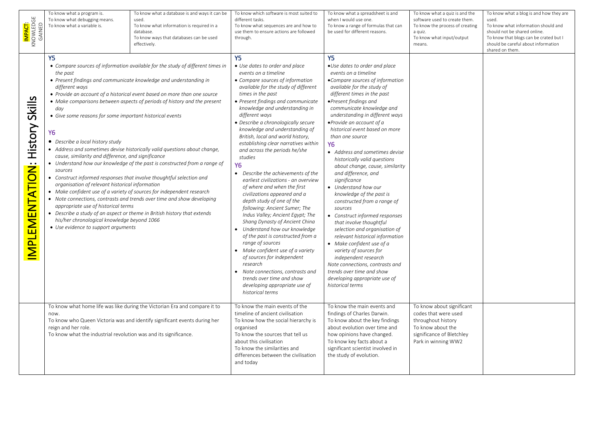| <mark>Impact</mark> :<br>Knowledge<br>Gained | To know what a program is.<br>To know what debugging means.<br>To know what a variable is.                                                                                                                                                                                                                                                                                                                                                                                                                                                                                                                            | To know what a database is and ways it can be<br>used.<br>To know what information is required in a<br>database.<br>To know ways that databases can be used<br>effectively.                                                                                                                                                                                                                                                                                                                                                                          | To know which software is most suited to<br>different tasks.<br>To know what sequences are and how to<br>use them to ensure actions are followed<br>through.                                                                                                                                                                                                                                                                                                                                                                                                                                                                                                                                                                                                                                                                                                                                                                                                                                                                                                             | To know what a spreadsheet is and<br>when I would use one.<br>To know a range of formulas that can<br>be used for different reasons.                                                                                                                                                                                                                                                                                                                                                                                                                                                                                                                                                                                                                                                                                                                                                                                                       | To know what a quiz is and the<br>software used to create them.<br>To know the process of creating<br>a quiz.<br>To know what input/output<br>means. | To know what a blog is and how they are<br>used.<br>To know what information should and<br>should not be shared online.<br>To know that blogs can be crated but I<br>should be careful about information<br>shared on them. |
|----------------------------------------------|-----------------------------------------------------------------------------------------------------------------------------------------------------------------------------------------------------------------------------------------------------------------------------------------------------------------------------------------------------------------------------------------------------------------------------------------------------------------------------------------------------------------------------------------------------------------------------------------------------------------------|------------------------------------------------------------------------------------------------------------------------------------------------------------------------------------------------------------------------------------------------------------------------------------------------------------------------------------------------------------------------------------------------------------------------------------------------------------------------------------------------------------------------------------------------------|--------------------------------------------------------------------------------------------------------------------------------------------------------------------------------------------------------------------------------------------------------------------------------------------------------------------------------------------------------------------------------------------------------------------------------------------------------------------------------------------------------------------------------------------------------------------------------------------------------------------------------------------------------------------------------------------------------------------------------------------------------------------------------------------------------------------------------------------------------------------------------------------------------------------------------------------------------------------------------------------------------------------------------------------------------------------------|--------------------------------------------------------------------------------------------------------------------------------------------------------------------------------------------------------------------------------------------------------------------------------------------------------------------------------------------------------------------------------------------------------------------------------------------------------------------------------------------------------------------------------------------------------------------------------------------------------------------------------------------------------------------------------------------------------------------------------------------------------------------------------------------------------------------------------------------------------------------------------------------------------------------------------------------|------------------------------------------------------------------------------------------------------------------------------------------------------|-----------------------------------------------------------------------------------------------------------------------------------------------------------------------------------------------------------------------------|
| <b>MPLEMENTATION: History Skills</b>         | Y5.<br>the past<br>• Present findings and communicate knowledge and understanding in<br>different ways<br>day<br>• Give some reasons for some important historical events<br>Υ6<br>• Describe a local history study<br>cause, similarity and difference, and significance<br>sources<br>• Construct informed responses that involve thoughtful selection and<br>organisation of relevant historical information<br>• Make confident use of a variety of sources for independent research<br>appropriate use of historical terms<br>his/her chronological knowledge beyond 1066<br>• Use evidence to support arguments | • Compare sources of information available for the study of different times in<br>• Provide an account of a historical event based on more than one source<br>• Make comparisons between aspects of periods of history and the present<br>• Address and sometimes devise historically valid questions about change,<br>• Understand how our knowledge of the past is constructed from a range of<br>Note connections, contrasts and trends over time and show developing<br>• Describe a study of an aspect or theme in British history that extends | <b>Y5</b><br>• Use dates to order and place<br>events on a timeline<br>• Compare sources of information<br>available for the study of different<br>times in the past<br>• Present findings and communicate<br>knowledge and understanding in<br>different ways<br>• Describe a chronologically secure<br>knowledge and understanding of<br>British, local and world history,<br>establishing clear narratives within<br>and across the periods he/she<br>studies<br><b>Y6</b><br>• Describe the achievements of the<br>earliest civilizations - an overview<br>of where and when the first<br>civilizations appeared and a<br>depth study of one of the<br>following: Ancient Sumer; The<br>Indus Valley; Ancient Egypt; The<br>Shang Dynasty of Ancient China<br>Understand how our knowledge<br>of the past is constructed from a<br>range of sources<br>• Make confident use of a variety<br>of sources for independent<br>research<br>Note connections, contrasts and<br>$\bullet$<br>trends over time and show<br>developing appropriate use of<br>historical terms | <b>Y5</b><br>•Use dates to order and place<br>events on a timeline<br>•Compare sources of information<br>available for the study of<br>different times in the past<br>• Present findings and<br>communicate knowledge and<br>understanding in different ways<br>· Provide an account of a<br>historical event based on more<br>than one source<br><b>Y6</b><br>• Address and sometimes devise<br>historically valid questions<br>about change, cause, similarity<br>and difference, and<br>significance<br>• Understand how our<br>knowledge of the past is<br>constructed from a range of<br>sources<br>• Construct informed responses<br>that involve thoughtful<br>selection and organisation of<br>relevant historical information<br>• Make confident use of a<br>variety of sources for<br>independent research<br>Note connections, contrasts and<br>trends over time and show<br>developing appropriate use of<br>historical terms |                                                                                                                                                      |                                                                                                                                                                                                                             |
|                                              | now.<br>reign and her role.<br>To know what the industrial revolution was and its significance.                                                                                                                                                                                                                                                                                                                                                                                                                                                                                                                       | To know what home life was like during the Victorian Era and compare it to<br>To know who Queen Victoria was and identify significant events during her                                                                                                                                                                                                                                                                                                                                                                                              | To know the main events of the<br>timeline of ancient civilisation<br>To know how the social hierarchy is<br>organised<br>To know the sources that tell us<br>about this civilisation<br>To know the similarities and<br>differences between the civilisation<br>and today                                                                                                                                                                                                                                                                                                                                                                                                                                                                                                                                                                                                                                                                                                                                                                                               | To know the main events and<br>findings of Charles Darwin.<br>To know about the key findings<br>about evolution over time and<br>how opinions have changed.<br>To know key facts about a<br>significant scientist involved in<br>the study of evolution.                                                                                                                                                                                                                                                                                                                                                                                                                                                                                                                                                                                                                                                                                   | To know about significant<br>codes that were used<br>throughout history<br>To know about the<br>significance of Bletchley<br>Park in winning WW2     |                                                                                                                                                                                                                             |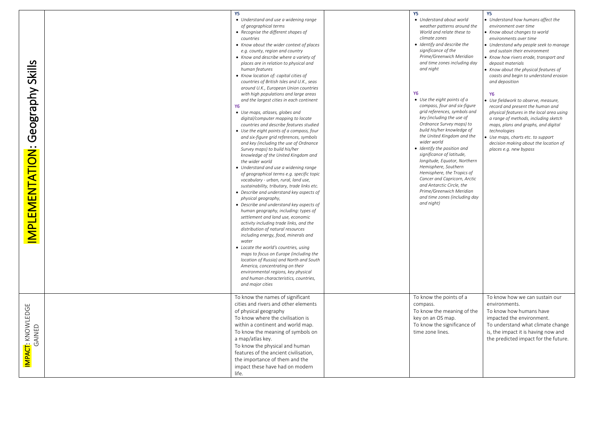|                                     | Υ5<br>• Understand and use a widening range<br>of geographical terms<br>• Recognise the different shapes of<br>countries                                                                                                                                                                                                                                                                                                                                                                                                                                                                                                                                                                                                                                                                                                                                                                                                                                                                                                                                                                                                                                                                                                                                                                                                                                                                                                                                                                                                                           | Y5<br>• Understand about world<br>weather patterns around the<br>World and relate these to<br>climate zones                                                                                                                                                                                                                                                                                                                                                                                                                                                                                                                                                           | Y5<br>• Understand how humans affect the<br>environment over time<br>• Know about changes to world<br>environments over time                                                                                                                                                                                                                                                                                                                                                                                                                                                   |
|-------------------------------------|----------------------------------------------------------------------------------------------------------------------------------------------------------------------------------------------------------------------------------------------------------------------------------------------------------------------------------------------------------------------------------------------------------------------------------------------------------------------------------------------------------------------------------------------------------------------------------------------------------------------------------------------------------------------------------------------------------------------------------------------------------------------------------------------------------------------------------------------------------------------------------------------------------------------------------------------------------------------------------------------------------------------------------------------------------------------------------------------------------------------------------------------------------------------------------------------------------------------------------------------------------------------------------------------------------------------------------------------------------------------------------------------------------------------------------------------------------------------------------------------------------------------------------------------------|-----------------------------------------------------------------------------------------------------------------------------------------------------------------------------------------------------------------------------------------------------------------------------------------------------------------------------------------------------------------------------------------------------------------------------------------------------------------------------------------------------------------------------------------------------------------------------------------------------------------------------------------------------------------------|--------------------------------------------------------------------------------------------------------------------------------------------------------------------------------------------------------------------------------------------------------------------------------------------------------------------------------------------------------------------------------------------------------------------------------------------------------------------------------------------------------------------------------------------------------------------------------|
| Geography Skills<br>IMPLEMENTATION: | • Know about the wider context of places<br>e.g. county, region and country<br>• Know and describe where a variety of<br>places are in relation to physical and<br>human features<br>• Know location of: capital cities of<br>countries of British Isles and U.K., seas<br>around U.K., European Union countries<br>with high populations and large areas<br>and the largest cities in each continent<br><b>Y6</b><br>• Use maps, atlases, globes and<br>digital/computer mapping to locate<br>countries and describe features studied<br>• Use the eight points of a compass, four<br>and six-figure grid references, symbols<br>and key (including the use of Ordnance<br>Survey maps) to build his/her<br>knowledge of the United Kingdom and<br>the wider world<br>• Understand and use a widening range<br>of geographical terms e.g. specific topic<br>vocabulary - urban, rural, land use,<br>sustainability, tributary, trade links etc.<br>• Describe and understand key aspects of<br>physical geography,<br>• Describe and understand key aspects of<br>human geography, including: types of<br>settlement and land use, economic<br>activity including trade links, and the<br>distribution of natural resources<br>including energy, food, minerals and<br>water<br>• Locate the world's countries, using<br>maps to focus on Europe (including the<br>location of Russia) and North and South<br>America, concentrating on their<br>environmental regions, key physical<br>and human characteristics, countries,<br>and major cities | • Identify and describe the<br>significance of the<br>Prime/Greenwich Meridian<br>and time zones including day<br>and night<br><b>Y6</b><br>• Use the eight points of a<br>compass, four and six-figure<br>grid references, symbols and<br>key (including the use of<br>Ordnance Survey maps) to<br>build his/her knowledge of<br>the United Kingdom and the<br>wider world<br>• Identify the position and<br>significance of latitude,<br>longitude, Equator, Northern<br>Hemisphere, Southern<br>Hemisphere, the Tropics of<br>Cancer and Capricorn, Arctic<br>and Antarctic Circle, the<br>Prime/Greenwich Meridian<br>and time zones (including day<br>and night) | • Understand why people seek to manage<br>and sustain their environment<br>• Know how rivers erode, transport and<br>deposit materials<br>Know about the physical features of<br>coasts and begin to understand erosion<br>and deposition<br>Y6<br>• Use fieldwork to observe, measure,<br>record and present the human and<br>physical features in the local area using<br>a range of methods, including sketch<br>maps, plans and graphs, and digital<br>technologies<br>Use maps, charts etc. to support<br>decision making about the location of<br>places e.g. new bypass |
| IMPACT: KNOWLEDGE<br>GAINED         | To know the names of significant<br>cities and rivers and other elements<br>of physical geography<br>To know where the civilisation is<br>within a continent and world map.<br>To know the meaning of symbols on<br>a map/atlas key.<br>To know the physical and human<br>features of the ancient civilisation,<br>the importance of them and the<br>impact these have had on modern<br>life.                                                                                                                                                                                                                                                                                                                                                                                                                                                                                                                                                                                                                                                                                                                                                                                                                                                                                                                                                                                                                                                                                                                                                      | To know the points of a<br>compass.<br>To know the meaning of the<br>key on an OS map.<br>To know the significance of<br>time zone lines.                                                                                                                                                                                                                                                                                                                                                                                                                                                                                                                             | To know how we can sustain our<br>environments.<br>To know how humans have<br>impacted the environment.<br>To understand what climate change<br>is, the impact it is having now and<br>the predicted impact for the future.                                                                                                                                                                                                                                                                                                                                                    |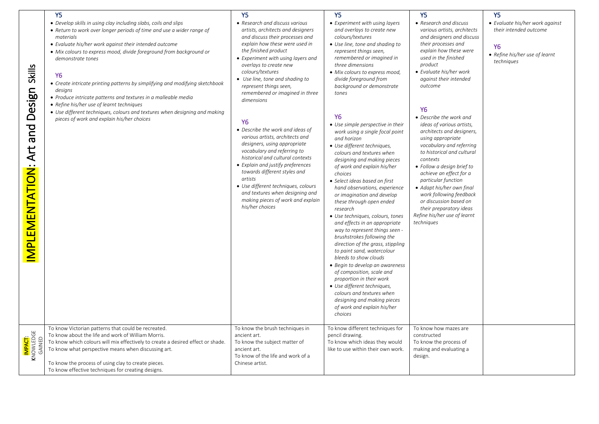|                                                          | Y <sub>5</sub>                                                                                                                                                                                                                                                                                                                                                                                                                                                                                                                                                                                                                                                 | Y5                                                                                                                                                                                                                                                                                                                                                                                                                                                                                                                                                                                                                                                                                                                                                                          | Y <sub>5</sub>                                                                                                                                                                                                                                                                                                                                                                                                                                                                                                                                                                                                                                                                                                                                                                                                                                                                                                                                                                                                                                                                                                                               | Y <sub>5</sub>                                                                                                                                                                                                                                                                                                                                                                                                                                                                                                                                                                                                                                                                      | Y <sub>5</sub>                                                                                                              |  |
|----------------------------------------------------------|----------------------------------------------------------------------------------------------------------------------------------------------------------------------------------------------------------------------------------------------------------------------------------------------------------------------------------------------------------------------------------------------------------------------------------------------------------------------------------------------------------------------------------------------------------------------------------------------------------------------------------------------------------------|-----------------------------------------------------------------------------------------------------------------------------------------------------------------------------------------------------------------------------------------------------------------------------------------------------------------------------------------------------------------------------------------------------------------------------------------------------------------------------------------------------------------------------------------------------------------------------------------------------------------------------------------------------------------------------------------------------------------------------------------------------------------------------|----------------------------------------------------------------------------------------------------------------------------------------------------------------------------------------------------------------------------------------------------------------------------------------------------------------------------------------------------------------------------------------------------------------------------------------------------------------------------------------------------------------------------------------------------------------------------------------------------------------------------------------------------------------------------------------------------------------------------------------------------------------------------------------------------------------------------------------------------------------------------------------------------------------------------------------------------------------------------------------------------------------------------------------------------------------------------------------------------------------------------------------------|-------------------------------------------------------------------------------------------------------------------------------------------------------------------------------------------------------------------------------------------------------------------------------------------------------------------------------------------------------------------------------------------------------------------------------------------------------------------------------------------------------------------------------------------------------------------------------------------------------------------------------------------------------------------------------------|-----------------------------------------------------------------------------------------------------------------------------|--|
| <b>Skills</b><br>Design<br>pue<br>Art<br>IMPLEMENTATION: | • Develop skills in using clay including slabs, coils and slips<br>• Return to work over longer periods of time and use a wider range of<br>materials<br>• Evaluate his/her work against their intended outcome<br>• Mix colours to express mood, divide foreground from background or<br>demonstrate tones<br><b>Y6</b><br>• Create intricate printing patterns by simplifying and modifying sketchbook<br>designs<br>• Produce intricate patterns and textures in a malleable media<br>• Refine his/her use of learnt techniques<br>• Use different techniques, colours and textures when designing and making<br>pieces of work and explain his/her choices | • Research and discuss various<br>artists, architects and designers<br>and discuss their processes and<br>explain how these were used in<br>the finished product<br>• Experiment with using layers and<br>overlays to create new<br>colours/textures<br>• Use line, tone and shading to<br>represent things seen,<br>remembered or imagined in three<br>dimensions<br><b>Y6</b><br>• Describe the work and ideas of<br>various artists, architects and<br>designers, using appropriate<br>vocabulary and referring to<br>historical and cultural contexts<br>• Explain and justify preferences<br>towards different styles and<br>artists<br>• Use different techniques, colours<br>and textures when designing and<br>making pieces of work and explain<br>his/her choices | • Experiment with using layers<br>and overlays to create new<br>colours/textures<br>• Use line, tone and shading to<br>represent things seen,<br>remembered or imagined in<br>three dimensions<br>• Mix colours to express mood,<br>divide foreground from<br>background or demonstrate<br>tones<br>Υ6<br>• Use simple perspective in their<br>work using a single focal point<br>and horizon<br>• Use different techniques,<br>colours and textures when<br>designing and making pieces<br>of work and explain his/her<br>choices<br>• Select ideas based on first<br>hand observations, experience<br>or imagination and develop<br>these through open ended<br>research<br>• Use techniques, colours, tones<br>and effects in an appropriate<br>way to represent things seen -<br>brushstrokes following the<br>direction of the grass, stippling<br>to paint sand, watercolour<br>bleeds to show clouds<br>• Begin to develop an awareness<br>of composition, scale and<br>proportion in their work<br>• Use different techniques,<br>colours and textures when<br>designing and making pieces<br>of work and explain his/her<br>choices | • Research and discuss<br>various artists, architects<br>and designers and discuss<br>their processes and<br>explain how these were<br>used in the finished<br>product<br>• Evaluate his/her work<br>against their intended<br>outcome<br>Y <sub>6</sub><br>• Describe the work and<br>ideas of various artists,<br>architects and designers,<br>using appropriate<br>vocabulary and referring<br>to historical and cultural<br>contexts<br>• Follow a design brief to<br>achieve an effect for a<br>particular function<br>• Adapt his/her own final<br>work following feedback<br>or discussion based on<br>their preparatory ideas<br>Refine his/her use of learnt<br>techniques | • Evaluate his/her work against<br>their intended outcome<br>Y <sub>6</sub><br>• Refine his/her use of learnt<br>techniques |  |
| I <mark>mpact</mark> :<br>Knowledge<br>Gained            | To know Victorian patterns that could be recreated.<br>To know about the life and work of William Morris.<br>To know which colours will mix effectively to create a desired effect or shade.<br>To know what perspective means when discussing art.<br>To know the process of using clay to create pieces.<br>To know effective techniques for creating designs.                                                                                                                                                                                                                                                                                               | To know the brush techniques in<br>ancient art.<br>To know the subject matter of<br>ancient art.<br>To know of the life and work of a<br>Chinese artist.                                                                                                                                                                                                                                                                                                                                                                                                                                                                                                                                                                                                                    | To know different techniques for<br>pencil drawing.<br>To know which ideas they would<br>like to use within their own work.                                                                                                                                                                                                                                                                                                                                                                                                                                                                                                                                                                                                                                                                                                                                                                                                                                                                                                                                                                                                                  | To know how mazes are<br>constructed<br>To know the process of<br>making and evaluating a<br>design.                                                                                                                                                                                                                                                                                                                                                                                                                                                                                                                                                                                |                                                                                                                             |  |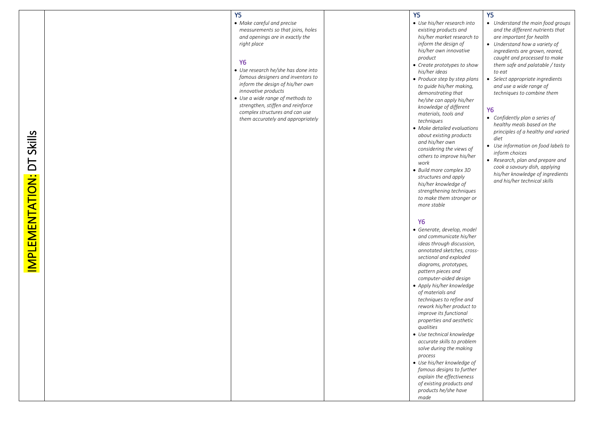### Y5

• *Make careful and precise measurements so that joins, holes and openings are in exactly the right place* 

#### Y6

- *Use research he/she has done into famous designers and inventors to inform the design of his/her own innovative products*
- *Use a wide range of methods to strengthen, stiffen and reinforce complex structures and can use them accurately and appropriately*

Y5

Y 5

*product* 

*work* 

*more stable* 

Y6

*his/her ideas* 

• *Use his/her research into existing products and his/her market research to inform the design of his/her own innovative* 

• *Create prototypes to show* 

• *Produce step by step plans to guide his/her making, demonstrating that he/she can apply his/her knowledge of different materials, tools and techniques* 

• *Make detailed evaluations about existing products and his/her own considering the views of others to improve his/her* 

• *Build more complex 3D structures and apply his/her knowledge of strengthening techniques to make them stronger or* 

- *Understand the main food groups and the different nutrients that are important for health*
- *Understand how a variety of ingredients are grown, reared, caught and processed to make them safe and palatable / tasty to eat*
- *Select appropriate ingredients and use a wide range of techniques to combine them*

#### Y6

- *Confidently plan a series of healthy meals based on the principles of a healthy and varied diet*
- *Use information on food labels to inform choices*
- *Research, plan and prepare and cook a savoury dish, applying his/her knowledge of ingredients and his/her technical skills*

#### • *Generate, develop, model and communicate his/her ideas through discussion, annotated sketches, cross sectional and exploded diagrams, prototypes, pattern pieces and computer -aided design*  • *Apply his/her knowledge of materials and techniques to refine and rework his/her product to improve its functional properties and aesthetic qualities*  • *Use technical knowledge accurate skills to problem solve during the making process*

• *Use his/her knowledge of famous designs to further explain the effectiveness of existing products and products he/she have made*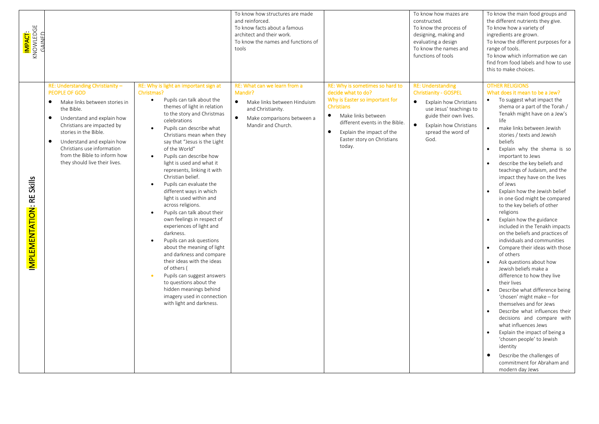| <mark>IMPACT</mark> :<br>KNOWLEDGE<br>GAINED |                                                                                                                                                                                                                                                                                                                                                                  |                                                                                                                                                                                                                                                                                                                                                                                                                                                                                                                                                                                                                                                                                                                                                                                                                                                                                                                                     | To know how structures are made<br>and reinforced.<br>To know facts about a famous<br>architect and their work.<br>To know the names and functions of<br>tools            |                                                                                                                                                                                                                                                                     | To know how mazes are<br>constructed.<br>To know the process of<br>designing, making and<br>evaluating a design<br>To know the names and<br>functions of tools                                                            | To know the main food groups and<br>the different nutrients they give.<br>To know how a variety of<br>ingredients are grown.<br>To know the different purposes for a<br>range of tools.<br>To know which information we can<br>find from food labels and how to use<br>this to make choices.                                                                                                                                                                                                                                                                                                                                                                                                                                                                                                                                                                                                                                                                                                                                                                                                                                                                                            |
|----------------------------------------------|------------------------------------------------------------------------------------------------------------------------------------------------------------------------------------------------------------------------------------------------------------------------------------------------------------------------------------------------------------------|-------------------------------------------------------------------------------------------------------------------------------------------------------------------------------------------------------------------------------------------------------------------------------------------------------------------------------------------------------------------------------------------------------------------------------------------------------------------------------------------------------------------------------------------------------------------------------------------------------------------------------------------------------------------------------------------------------------------------------------------------------------------------------------------------------------------------------------------------------------------------------------------------------------------------------------|---------------------------------------------------------------------------------------------------------------------------------------------------------------------------|---------------------------------------------------------------------------------------------------------------------------------------------------------------------------------------------------------------------------------------------------------------------|---------------------------------------------------------------------------------------------------------------------------------------------------------------------------------------------------------------------------|-----------------------------------------------------------------------------------------------------------------------------------------------------------------------------------------------------------------------------------------------------------------------------------------------------------------------------------------------------------------------------------------------------------------------------------------------------------------------------------------------------------------------------------------------------------------------------------------------------------------------------------------------------------------------------------------------------------------------------------------------------------------------------------------------------------------------------------------------------------------------------------------------------------------------------------------------------------------------------------------------------------------------------------------------------------------------------------------------------------------------------------------------------------------------------------------|
| <b>MPLEMENTATION: RE Skills</b>              | RE: Understanding Christianity -<br><b>PEOPLE OF GOD</b><br>$\bullet$<br>Make links between stories in<br>the Bible.<br>$\bullet$<br>Understand and explain how<br>Christians are impacted by<br>stories in the Bible.<br>Understand and explain how<br>$\bullet$<br>Christians use information<br>from the Bible to inform how<br>they should live their lives. | RE: Why is light an important sign at<br>Christmas?<br>Pupils can talk about the<br>$\bullet$<br>themes of light in relation<br>to the story and Christmas<br>celebrations<br>Pupils can describe what<br>$\bullet$<br>Christians mean when they<br>say that "Jesus is the Light<br>of the World"<br>Pupils can describe how<br>$\bullet$<br>light is used and what it<br>represents, linking it with<br>Christian belief.<br>Pupils can evaluate the<br>different ways in which<br>light is used within and<br>across religions.<br>Pupils can talk about their<br>own feelings in respect of<br>experiences of light and<br>darkness.<br>Pupils can ask questions<br>$\bullet$<br>about the meaning of light<br>and darkness and compare<br>their ideas with the ideas<br>of others (<br>Pupils can suggest answers<br>to questions about the<br>hidden meanings behind<br>imagery used in connection<br>with light and darkness. | RE: What can we learn from a<br>Mandir?<br>$\bullet$<br>Make links between Hinduism<br>and Christianity.<br>$\bullet$<br>Make comparisons between a<br>Mandir and Church. | RE: Why is sometimes so hard to<br>decide what to do?<br>Why is Easter so important for<br><b>Christians</b><br>$\bullet$<br>Make links between<br>different events in the Bible.<br>$\bullet$<br>Explain the impact of the<br>Easter story on Christians<br>today. | <b>RE: Understanding</b><br><b>Christianity - GOSPEL</b><br>$\bullet$<br>Explain how Christians<br>use Jesus' teachings to<br>guide their own lives.<br>$\bullet$<br>Explain how Christians<br>spread the word of<br>God. | <b>OTHER RELIGIONS</b><br>What does it mean to be a Jew?<br>To suggest what impact the<br>shema or a part of the Torah /<br>Tenakh might have on a Jew's<br>life<br>make links between Jewish<br>$\bullet$<br>stories / texts and Jewish<br>beliefs<br>Explain why the shema is so<br>important to Jews<br>describe the key beliefs and<br>teachings of Judaism, and the<br>impact they have on the lives<br>of Jews<br>Explain how the Jewish belief<br>in one God might be compared<br>to the key beliefs of other<br>religions<br>Explain how the guidance<br>included in the Tenakh impacts<br>on the beliefs and practices of<br>individuals and communities<br>Compare their ideas with those<br>$\bullet$<br>of others<br>Ask questions about how<br>Jewish beliefs make a<br>difference to how they live<br>their lives<br>Describe what difference being<br>$\bullet$<br>'chosen' might make - for<br>themselves and for Jews<br>Describe what influences their<br>decisions and compare with<br>what influences Jews<br>Explain the impact of being a<br>'chosen people' to Jewish<br>identity<br>Describe the challenges of<br>commitment for Abraham and<br>modern day Jews |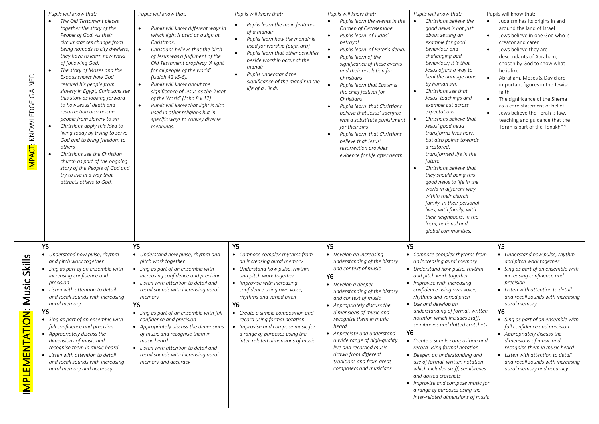| GAINED<br>IMPACT: KNOWLEDGE                                    | Pupils will know that:<br>The Old Testament pieces<br>together the story of the<br>People of God. As their<br>circumstances change from<br>being nomads to city dwellers,<br>they have to learn new ways<br>of following God.<br>The story of Moses and the<br>Exodus shows how God<br>rescued his people from<br>slavery in Egypt; Christians see<br>this story as looking forward<br>to how Jesus' death and<br>resurrection also rescue<br>people from slavery to sin<br>Christians apply this idea to<br>living today by trying to serve<br>God and to bring freedom to<br>others<br>Christians see the Christian<br>church as part of the ongoing<br>story of the People of God and<br>try to live in a way that<br>attracts others to God. | Pupils will know that:<br>Pupils will know different ways in<br>which light is used as a sign at<br>Christmas.<br>Christians believe that the birth<br>of Jesus was a fulfilment of the<br>Old Testament prophecy 'A light<br>for all people of the world'<br>(Isaiah 42 v5-6).<br>Pupils will know about the<br>significance of Jesus as the 'Light<br>of the World' (John 8 v 12)<br>Pupils will know that light is also<br>used in other religions but in<br>specific ways to convey diverse<br>meanings.          | Pupils will know that:<br>Pupils learn the main features<br>of a mandir<br>Pupils learn how the mandir is<br>$\bullet$<br>used for worship (puja, arti)<br>Pupils learn that other activities<br>$\bullet$<br>beside worship occur at the<br>mandir<br>Pupils understand the<br>$\bullet$<br>significance of the mandir in the<br>life of a Hindu                                                                      | Pupils will know that:<br>Pupils learn the events in the<br>Garden of Gethsemane<br>Pupils learn of Judas'<br>$\bullet$<br>betrayal<br>Pupils learn of Peter's denial<br>$\bullet$<br>Pupils learn of the<br>$\bullet$<br>significance of these events<br>and their resolution for<br>Christians<br>Pupils learn that Easter is<br>the chief festival for<br>Christians<br>Pupils learn that Christians<br>$\bullet$<br>believe that Jesus' sacrifice<br>was a substitute punishment<br>for their sins<br>Pupils learn that Christians<br>$\bullet$<br>believe that Jesus'<br>resurrection provides<br>evidence for life after death | Pupils will know that:<br>Christians believe the<br>good news is not just<br>about setting an<br>example for good<br>behaviour and<br>challenging bad<br>behaviour; it is that<br>Jesus offers a way to<br>heal the damage done<br>by human sin.<br>Christians see that<br>$\bullet$<br>Jesus' teachings and<br>example cut across<br>expectations<br>Christians believe that<br>Jesus' good news<br>transforms lives now,<br>but also points towards<br>a restored,<br>transformed life in the<br>future<br>Christians believe that<br>they should being this<br>good news to life in the<br>world in different way,<br>within their church<br>family, in their personal<br>lives, with family, with<br>their neighbours, in the     | Pupils will know that:<br>Judaism has its origins in and<br>around the land of Israel<br>Jews believe in one God who is<br>creator and carer<br>Jews believe they are<br>descendants of Abraham,<br>chosen by God to show what<br>he is like<br>Abraham, Moses & David are<br>important figures in the Jewish<br>faith<br>The significance of the Shema<br>as a core statement of belief<br>Jews believe the Torah is law,<br>teaching and guidance that the<br>Torah is part of the Tenakh**                                        |
|----------------------------------------------------------------|--------------------------------------------------------------------------------------------------------------------------------------------------------------------------------------------------------------------------------------------------------------------------------------------------------------------------------------------------------------------------------------------------------------------------------------------------------------------------------------------------------------------------------------------------------------------------------------------------------------------------------------------------------------------------------------------------------------------------------------------------|-----------------------------------------------------------------------------------------------------------------------------------------------------------------------------------------------------------------------------------------------------------------------------------------------------------------------------------------------------------------------------------------------------------------------------------------------------------------------------------------------------------------------|------------------------------------------------------------------------------------------------------------------------------------------------------------------------------------------------------------------------------------------------------------------------------------------------------------------------------------------------------------------------------------------------------------------------|--------------------------------------------------------------------------------------------------------------------------------------------------------------------------------------------------------------------------------------------------------------------------------------------------------------------------------------------------------------------------------------------------------------------------------------------------------------------------------------------------------------------------------------------------------------------------------------------------------------------------------------|---------------------------------------------------------------------------------------------------------------------------------------------------------------------------------------------------------------------------------------------------------------------------------------------------------------------------------------------------------------------------------------------------------------------------------------------------------------------------------------------------------------------------------------------------------------------------------------------------------------------------------------------------------------------------------------------------------------------------------------|--------------------------------------------------------------------------------------------------------------------------------------------------------------------------------------------------------------------------------------------------------------------------------------------------------------------------------------------------------------------------------------------------------------------------------------------------------------------------------------------------------------------------------------|
| Skills<br>Music<br><u>ÖÖ</u><br>$\equiv$<br><b>IMPLEMENTAT</b> | Υ5<br>• Understand how pulse, rhythm<br>and pitch work together<br>• Sing as part of an ensemble with<br>increasing confidence and<br>precision<br>• Listen with attention to detail<br>and recall sounds with increasing<br>aural memory<br>Υ6<br>• Sing as part of an ensemble with<br>full confidence and precision<br>• Appropriately discuss the<br>dimensions of music and<br>recognise them in music heard<br>• Listen with attention to detail<br>and recall sounds with increasing<br>aural memory and accuracy                                                                                                                                                                                                                         | Y5<br>• Understand how pulse, rhythm and<br>pitch work together<br>• Sing as part of an ensemble with<br>increasing confidence and precision<br>• Listen with attention to detail and<br>recall sounds with increasing aural<br>memory<br>Υ6<br>• Sing as part of an ensemble with full<br>confidence and precision<br>• Appropriately discuss the dimensions<br>of music and recognise them in<br>music heard<br>• Listen with attention to detail and<br>recall sounds with increasing aural<br>memory and accuracy | <b>Y5</b><br>• Compose complex rhythms from<br>an increasing aural memory<br>• Understand how pulse, rhythm<br>and pitch work together<br>• Improvise with increasing<br>confidence using own voice,<br>rhythms and varied pitch<br>Y6<br>• Create a simple composition and<br>record using formal notation<br>• Improvise and compose music for<br>a range of purposes using the<br>inter-related dimensions of music | <b>Y5</b><br>• Develop an increasing<br>understanding of the history<br>and context of music<br><b>Y6</b><br>$\bullet$ Develop a deeper<br>understanding of the history<br>and context of music<br>• Appropriately discuss the<br>dimensions of music and<br>recognise them in music<br>heard<br>• Appreciate and understand<br>a wide range of high-quality<br>live and recorded music<br>drawn from different<br>traditions and from great<br>composers and musicians                                                                                                                                                              | local, national and<br>global communities.<br>Y5<br>• Compose complex rhythms from<br>an increasing aural memory<br>• Understand how pulse, rhythm<br>and pitch work together<br>• Improvise with increasing<br>confidence using own voice,<br>rhythms and varied pitch<br>• Use and develop an<br>understanding of formal, written<br>notation which includes staff,<br>semibreves and dotted crotchets<br><b>Y6</b><br>• Create a simple composition and<br>record using formal notation<br>• Deepen an understanding and<br>use of formal, written notation<br>which includes staff, semibreves<br>and dotted crotchets<br>• Improvise and compose music for<br>a range of purposes using the<br>inter-related dimensions of music | Y <sub>5</sub><br>• Understand how pulse, rhythm<br>and pitch work together<br>• Sing as part of an ensemble with<br>increasing confidence and<br>precision<br>• Listen with attention to detail<br>and recall sounds with increasing<br>aural memory<br>Y6<br>• Sing as part of an ensemble with<br>full confidence and precision<br>• Appropriately discuss the<br>dimensions of music and<br>recognise them in music heard<br>• Listen with attention to detail<br>and recall sounds with increasing<br>aural memory and accuracy |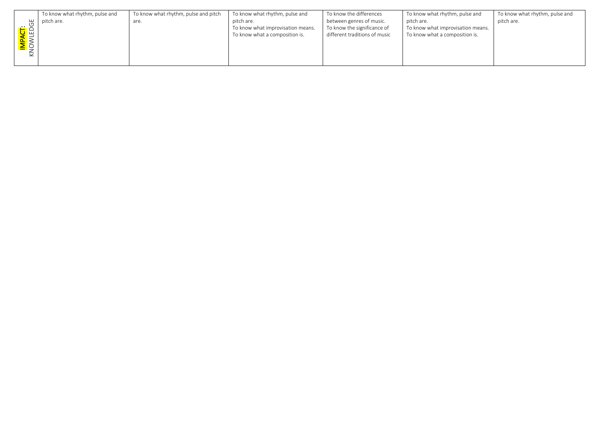|                                     | To know what rhythm, pulse and | To know what rhythm, pulse and pitch | To know what rhythm, pulse and    | To know the differences       | To know what rhythm, pulse and    | To know what rhythm, pulse and |
|-------------------------------------|--------------------------------|--------------------------------------|-----------------------------------|-------------------------------|-----------------------------------|--------------------------------|
|                                     | pitch are.                     | are.                                 | pitch are.                        | between genres of music.      | pitch are.                        | pitch are.                     |
|                                     |                                |                                      | To know what improvisation means. | To know the significance of   | To know what improvisation means. |                                |
|                                     |                                |                                      | To know what a composition is.    | different traditions of music | To know what a composition is.    |                                |
|                                     |                                |                                      |                                   |                               |                                   |                                |
| I <mark>mpact</mark> :<br>Knowledge |                                |                                      |                                   |                               |                                   |                                |
|                                     |                                |                                      |                                   |                               |                                   |                                |
|                                     |                                |                                      |                                   |                               |                                   |                                |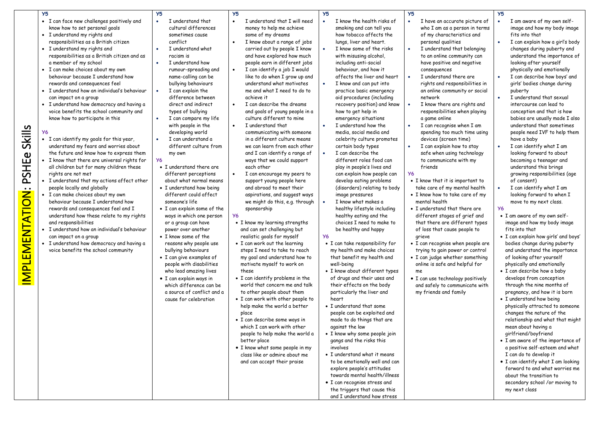|                                                 | <b>Y5</b>                                                                                                                                                                                                                                                                                                                                                                                                                                                                                                                                                                                                                                                                                                                                                                                                                                                                                                                                                                                                                                                                                                                                                                                                                                                         | Y <sub>5</sub>                                                                                                                                                                                                                                                                                                                                                                                                                                                                                                                                                                                                                                                                                                                                                                                                                                                                                                                                                                                          | Y <sub>5</sub>                                                                                                                                                                                                                                                                                                                                                                                                                                                                                                                                                                                                                                                                                                                                                                                                                                                                                                                                                                                                                                                                                                                                                                                                                                                                                                                                                                                                                                                                                                                            | <b>Y5</b>                                                                                                                                                                                                                                                                                                                                                                                                                                                                                                                                                                                                                                                                                                                                                                                                                                                                                                                                                                                                                                                                                                                                                                                                                                                                                                                                                                                                                                                                                                                                                                                            | Y <sub>5</sub>                                                                                                                                                                                                                                                                                                                                                                                                                                                                                                                                                                                                                                                                                                                                                                                                                                                                                                                                                                                                                                                                                                                                                                            | <b>Y5</b>                                                                                                                                                                                                                                                                                                                                                                                                                                                                                                                                                                                                                                                                                                                                                                                                                                                                                                                                                                                                                                                                                                                                                                                                                                                                                                                                                                                                                                                                                                                                                                                            |
|-------------------------------------------------|-------------------------------------------------------------------------------------------------------------------------------------------------------------------------------------------------------------------------------------------------------------------------------------------------------------------------------------------------------------------------------------------------------------------------------------------------------------------------------------------------------------------------------------------------------------------------------------------------------------------------------------------------------------------------------------------------------------------------------------------------------------------------------------------------------------------------------------------------------------------------------------------------------------------------------------------------------------------------------------------------------------------------------------------------------------------------------------------------------------------------------------------------------------------------------------------------------------------------------------------------------------------|---------------------------------------------------------------------------------------------------------------------------------------------------------------------------------------------------------------------------------------------------------------------------------------------------------------------------------------------------------------------------------------------------------------------------------------------------------------------------------------------------------------------------------------------------------------------------------------------------------------------------------------------------------------------------------------------------------------------------------------------------------------------------------------------------------------------------------------------------------------------------------------------------------------------------------------------------------------------------------------------------------|-------------------------------------------------------------------------------------------------------------------------------------------------------------------------------------------------------------------------------------------------------------------------------------------------------------------------------------------------------------------------------------------------------------------------------------------------------------------------------------------------------------------------------------------------------------------------------------------------------------------------------------------------------------------------------------------------------------------------------------------------------------------------------------------------------------------------------------------------------------------------------------------------------------------------------------------------------------------------------------------------------------------------------------------------------------------------------------------------------------------------------------------------------------------------------------------------------------------------------------------------------------------------------------------------------------------------------------------------------------------------------------------------------------------------------------------------------------------------------------------------------------------------------------------|------------------------------------------------------------------------------------------------------------------------------------------------------------------------------------------------------------------------------------------------------------------------------------------------------------------------------------------------------------------------------------------------------------------------------------------------------------------------------------------------------------------------------------------------------------------------------------------------------------------------------------------------------------------------------------------------------------------------------------------------------------------------------------------------------------------------------------------------------------------------------------------------------------------------------------------------------------------------------------------------------------------------------------------------------------------------------------------------------------------------------------------------------------------------------------------------------------------------------------------------------------------------------------------------------------------------------------------------------------------------------------------------------------------------------------------------------------------------------------------------------------------------------------------------------------------------------------------------------|-------------------------------------------------------------------------------------------------------------------------------------------------------------------------------------------------------------------------------------------------------------------------------------------------------------------------------------------------------------------------------------------------------------------------------------------------------------------------------------------------------------------------------------------------------------------------------------------------------------------------------------------------------------------------------------------------------------------------------------------------------------------------------------------------------------------------------------------------------------------------------------------------------------------------------------------------------------------------------------------------------------------------------------------------------------------------------------------------------------------------------------------------------------------------------------------|------------------------------------------------------------------------------------------------------------------------------------------------------------------------------------------------------------------------------------------------------------------------------------------------------------------------------------------------------------------------------------------------------------------------------------------------------------------------------------------------------------------------------------------------------------------------------------------------------------------------------------------------------------------------------------------------------------------------------------------------------------------------------------------------------------------------------------------------------------------------------------------------------------------------------------------------------------------------------------------------------------------------------------------------------------------------------------------------------------------------------------------------------------------------------------------------------------------------------------------------------------------------------------------------------------------------------------------------------------------------------------------------------------------------------------------------------------------------------------------------------------------------------------------------------------------------------------------------------|
| <b>Skills</b><br>PSHEe<br><b>MPLEMENTATION:</b> | • I can face new challenges positively and<br>know how to set personal goals<br>• I understand my rights and<br>responsibilities as a British citizen<br>• I understand my rights and<br>responsibilities as a British citizen and as<br>a member of my school<br>• I can make choices about my own<br>behaviour because I understand how<br>rewards and consequences feel<br>• I understand how an individual's behaviour<br>can impact on a group<br>• I understand how democracy and having a<br>voice benefits the school community and<br>know how to participate in this<br>• I can identify my goals for this year,<br>understand my fears and worries about<br>the future and know how to express them<br>• I know that there are universal rights for<br>all children but for many children these<br>rights are not met<br>• I understand that my actions affect other<br>people locally and globally<br>• I can make choices about my own<br>behaviour because I understand how<br>rewards and consequences feel and I<br>understand how these relate to my rights<br>and responsibilities<br>• I understand how an individual's behaviour<br>can impact on a group<br>· I understand how democracy and having a<br>voice benefits the school community | I understand that<br>$\bullet$<br>cultural differences<br>sometimes cause<br>conflict<br>I understand what<br>racism is<br>I understand how<br>rumour-spreading and<br>name-calling can be<br>bullying behaviours<br>I can explain the<br>$\bullet$<br>difference between<br>direct and indirect<br>types of bullying<br>I can compare my life<br>with people in the<br>developing world<br>I can understand a<br>different culture from<br>my own<br><b>Y6</b><br>• I understand there are<br>different perceptions<br>about what normal means<br>• I understand how being<br>different could affect<br>someone's life<br>• I can explain some of the<br>ways in which one person<br>or a group can have<br>power over another<br>• I know some of the<br>reasons why people use<br>bullying behaviours<br>• I can give examples of<br>people with disabilities<br>who lead amazing lives<br>• I can explain ways in<br>which difference can be<br>a source of conflict and a<br>cause for celebration | I understand that I will need<br>$\bullet$<br>money to help me achieve<br>some of my dreams<br>I know about a range of jobs<br>$\bullet$<br>carried out by people I know<br>and have explored how much<br>people earn in different jobs<br>I can identify a job I would<br>$\bullet$<br>like to do when I grow up and<br>understand what motivates<br>me and what I need to do to<br>achieve it<br>I can describe the dreams<br>and goals of young people in a<br>culture different to mine<br>I understand that<br>$\bullet$<br>communicating with someone<br>in a different culture means<br>we can learn from each other<br>and I can identify a range of<br>ways that we could support<br>each other<br>I can encourage my peers to<br>support young people here<br>and abroad to meet their<br>aspirations, and suggest ways<br>we might do this, e.g. through<br>sponsorship<br>У6<br>• I know my learning strengths<br>and can set challenging but<br>realistic goals for myself<br>• I can work out the learning<br>steps I need to take to reach<br>my goal and understand how to<br>motivate myself to work on<br>these<br>• I can identify problems in the<br>world that concern me and talk<br>to other people about them<br>. I can work with other people to<br>help make the world a better<br>place<br>• I can describe some ways in<br>which I can work with other<br>people to help make the world a<br>better place<br>• I know what some people in my<br>class like or admire about me<br>and can accept their praise | I know the health risks of<br>smoking and can tell you<br>how tobacco affects the<br>lungs, liver and heart.<br>I know some of the risks<br>$\bullet$<br>with misusing alcohol,<br>including anti-social<br>behaviour, and how it<br>affects the liver and heart<br>I know and can put into<br>$\bullet$<br>practice basic emergency<br>aid procedures (including<br>recovery position) and know<br>how to get help in<br>emergency situations<br>I understand how the<br>media, social media and<br>celebrity culture promotes<br>certain body types<br>I can describe the<br>$\bullet$<br>different roles food can<br>play in people's lives and<br>can explain how people can<br>develop eating problems<br>(disorders) relating to body<br>image pressures<br>I know what makes a<br>$\bullet$<br>healthy lifestyle including<br>healthy eating and the<br>choices I need to make to<br>be healthy and happy<br><b>Y6</b><br>• I can take responsibility for<br>my health and make choices<br>that benefit my health and<br>well-being<br>· I know about different types<br>of drugs and their uses and<br>their effects on the body<br>particularly the liver and<br>heart<br>• I understand that some<br>people can be exploited and<br>made to do things that are<br>against the law<br>• I know why some people join<br>gangs and the risks this<br>involves<br>• I understand what it means<br>to be emotionally well and can<br>explore people's attitudes<br>towards mental health/illness<br>• I can recognise stress and<br>the triggers that cause this<br>and I understand how stress | I have an accurate picture of<br>$\bullet$<br>who I am as a person in terms<br>of my characteristics and<br>personal qualities<br>I understand that belonging<br>$\bullet$<br>to an online community can<br>have positive and negative<br>consequences<br>I understand there are<br>rights and responsibilities in<br>an online community or social<br>network<br>I know there are rights and<br>responsibilities when playing<br>a game online<br>I can recognise when I am<br>spending too much time using<br>devices (screen time)<br>I can explain how to stay<br>$\bullet$<br>safe when using technology<br>to communicate with my<br>friends<br><b>Y6</b><br>• I know that it is important to<br>take care of my mental health<br>• I know how to take care of my<br>mental health<br>• I understand that there are<br>different stages of grief and<br>that there are different types<br>of loss that cause people to<br>grieve<br>• I can recognise when people are<br>trying to gain power or control<br>• I can judge whether something<br>online is safe and helpful for<br>me<br>• I can use technology positively<br>and safely to communicate with<br>my friends and family | I am aware of my own self-<br>image and how my body image<br>fits into that<br>I can explain how a girl's body<br>changes during puberty and<br>understand the importance of<br>looking after yourself<br>physically and emotionally<br>I can describe how boys' and<br>girls' bodies change during<br>puberty<br>I understand that sexual<br>intercourse can lead to<br>conception and that is how<br>babies are usually made I also<br>understand that sometimes<br>people need IVF to help them<br>have a baby<br>I can identify what I am<br>looking forward to about<br>becoming a teenager and<br>understand this brings<br>growing responsibilities (age<br>of consent)<br>I can identify what I am<br>looking forward to when I<br>move to my next class.<br><b>Y6</b><br>· I am aware of my own self-<br>image and how my body image<br>fits into that<br>• I can explain how girls' and boys'<br>bodies change during puberty<br>and understand the importance<br>of looking after yourself<br>physically and emotionally<br>· I can describe how a baby<br>develops from conception<br>through the nine months of<br>pregnancy, and how it is born<br>• I understand how being<br>physically attracted to someone<br>changes the nature of the<br>relationship and what that might<br>mean about having a<br>girlfriend/boyfriend<br>• I am aware of the importance of<br>a positive self-esteem and what<br>I can do to develop it<br>. I can identify what I am looking<br>forward to and what worries me<br>about the transition to<br>secondary school /or moving to<br>my next class |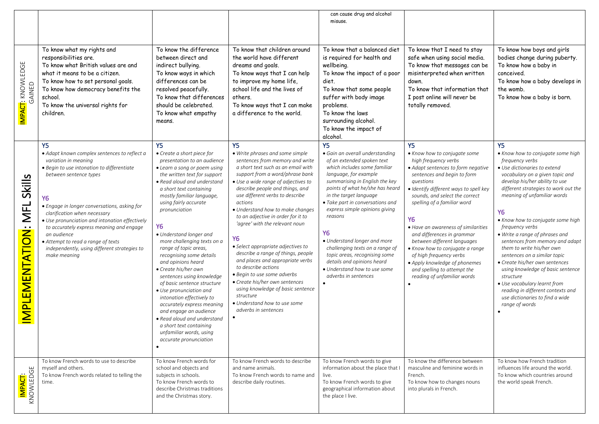|                                         |                                                                                                                                                                                                                                                                                                                                                                                                                                                                         |                                                                                                                                                                                                                                                                                                                                                                                                                                                                                                                                                                                                                                                                                                                                              |                                                                                                                                                                                                                                                                                                                                                                                                                                                                                                                                                                                                                                                                                                                             | can cause drug and alcohol<br>misuse.                                                                                                                                                                                                                                                                                                                                                                                                                                                                                      |                                                                                                                                                                                                                                                                                                                                                                                                                                                                                                                                              |                                                                                                                                                                                                                                                                                                                                                                                                                                                                                                                                                                                                                                                                    |
|-----------------------------------------|-------------------------------------------------------------------------------------------------------------------------------------------------------------------------------------------------------------------------------------------------------------------------------------------------------------------------------------------------------------------------------------------------------------------------------------------------------------------------|----------------------------------------------------------------------------------------------------------------------------------------------------------------------------------------------------------------------------------------------------------------------------------------------------------------------------------------------------------------------------------------------------------------------------------------------------------------------------------------------------------------------------------------------------------------------------------------------------------------------------------------------------------------------------------------------------------------------------------------------|-----------------------------------------------------------------------------------------------------------------------------------------------------------------------------------------------------------------------------------------------------------------------------------------------------------------------------------------------------------------------------------------------------------------------------------------------------------------------------------------------------------------------------------------------------------------------------------------------------------------------------------------------------------------------------------------------------------------------------|----------------------------------------------------------------------------------------------------------------------------------------------------------------------------------------------------------------------------------------------------------------------------------------------------------------------------------------------------------------------------------------------------------------------------------------------------------------------------------------------------------------------------|----------------------------------------------------------------------------------------------------------------------------------------------------------------------------------------------------------------------------------------------------------------------------------------------------------------------------------------------------------------------------------------------------------------------------------------------------------------------------------------------------------------------------------------------|--------------------------------------------------------------------------------------------------------------------------------------------------------------------------------------------------------------------------------------------------------------------------------------------------------------------------------------------------------------------------------------------------------------------------------------------------------------------------------------------------------------------------------------------------------------------------------------------------------------------------------------------------------------------|
| IMPACT: KNOWLEDGE<br>GAINED             | To know what my rights and<br>responsibilities are.<br>To know what British values are and<br>what it means to be a citizen.<br>To know how to set personal goals.<br>To know how democracy benefits the<br>school.<br>To know the universal rights for<br>children.                                                                                                                                                                                                    | To know the difference<br>between direct and<br>indirect bullying.<br>To know ways in which<br>differences can be<br>resolved peacefully.<br>To know that differences<br>should be celebrated.<br>To know what empathy<br>means.                                                                                                                                                                                                                                                                                                                                                                                                                                                                                                             | To know that children around<br>the world have different<br>dreams and goals.<br>To know ways that I can help<br>to improve my home life,<br>school life and the lives of<br>others.<br>To know ways that I can make<br>a difference to the world.                                                                                                                                                                                                                                                                                                                                                                                                                                                                          | To know that a balanced diet<br>is required for health and<br>wellbeing.<br>To know the impact of a poor<br>diet.<br>To know that some people<br>suffer with body image<br>problems.<br>To know the laws<br>surrounding alcohol.<br>To know the impact of<br>alcohol.                                                                                                                                                                                                                                                      | To know that I need to stay<br>safe when using social media.<br>To know that messages can be<br>misinterpreted when written<br>down.<br>To know that information that<br>I post online will never be<br>totally removed.                                                                                                                                                                                                                                                                                                                     | To know how boys and girls<br>bodies change during puberty.<br>To know how a baby in<br>conceived.<br>To know how a baby develops in<br>the womb.<br>To know how a baby is born.                                                                                                                                                                                                                                                                                                                                                                                                                                                                                   |
| Skills<br><b>MFL</b><br>IMPLEMENTATION: | Y <sub>5</sub><br>· Adapt known complex sentences to reflect a<br>variation in meaning<br>• Begin to use intonation to differentiate<br>between sentence types<br>Y6<br>• Engage in longer conversations, asking for<br>clarification when necessary<br>• Use pronunciation and intonation effectively<br>to accurately express meaning and engage<br>an audience<br>• Attempt to read a range of texts<br>independently, using different strategies to<br>make meaning | <b>Y5</b><br>• Create a short piece for<br>presentation to an audience<br>• Learn a song or poem using<br>the written text for support<br>• Read aloud and understand<br>a short text containing<br>mostly familiar language,<br>using fairly accurate<br>pronunciation<br><b>Y6</b><br>• Understand longer and<br>more challenging texts on a<br>range of topic areas,<br>recognising some details<br>and opinions heard<br>• Create his/her own<br>sentences using knowledge<br>of basic sentence structure<br>• Use pronunciation and<br>intonation effectively to<br>accurately express meaning<br>and engage an audience<br>• Read aloud and understand<br>a short text containing<br>unfamiliar words, using<br>accurate pronunciation | <b>Y5</b><br>• Write phrases and some simple<br>sentences from memory and write<br>a short text such as an email with<br>support from a word/phrase bank<br>• Use a wide range of adjectives to<br>describe people and things, and<br>use different verbs to describe<br>actions<br>• Understand how to make changes<br>to an adjective in order for it to<br>'agree' with the relevant noun<br><b>Y6</b><br>• Select appropriate adjectives to<br>describe a range of things, people<br>and places and appropriate verbs<br>to describe actions<br>• Begin to use some adverbs<br>• Create his/her own sentences<br>using knowledge of basic sentence<br>structure<br>• Understand how to use some<br>adverbs in sentences | <b>Y5</b><br>· Gain an overall understanding<br>of an extended spoken text<br>which includes some familiar<br>language, for example<br>summarising in English the key<br>points of what he/she has heard<br>in the target language<br>• Take part in conversations and<br>express simple opinions giving<br>reasons<br><b>Y6</b><br>• Understand longer and more<br>challenging texts on a range of<br>topic areas, recognising some<br>details and opinions heard<br>• Understand how to use some<br>adverbs in sentences | <b>Y5</b><br>• Know how to conjugate some<br>high frequency verbs<br>• Adapt sentences to form negative<br>sentences and begin to form<br>questions<br>· Identify different ways to spell key<br>sounds, and select the correct<br>spelling of a familiar word<br><b>Y6</b><br>• Have an awareness of similarities<br>and differences in grammar<br>between different languages<br>• Know how to conjugate a range<br>of high frequency verbs<br>• Apply knowledge of phonemes<br>and spelling to attempt the<br>reading of unfamiliar words | <b>Y5</b><br>• Know how to conjugate some high<br>frequency verbs<br>· Use dictionaries to extend<br>vocabulary on a given topic and<br>develop his/her ability to use<br>different strategies to work out the<br>meaning of unfamiliar words<br><b>Y6</b><br>• Know how to conjugate some high<br>frequency verbs<br>• Write a range of phrases and<br>sentences from memory and adapt<br>them to write his/her own<br>sentences on a similar topic<br>• Create his/her own sentences<br>using knowledge of basic sentence<br>structure<br>• Use vocabulary learnt from<br>reading in different contexts and<br>use dictionaries to find a wide<br>range of words |
| KNOWLEDGE<br>IMPACT:                    | To know French words to use to describe<br>myself and others.<br>To know French words related to telling the<br>time.                                                                                                                                                                                                                                                                                                                                                   | To know French words for<br>school and objects and<br>subjects in schools.<br>To know French words to<br>describe Christmas traditions<br>and the Christmas story.                                                                                                                                                                                                                                                                                                                                                                                                                                                                                                                                                                           | To know French words to describe<br>and name animals.<br>To know French words to name and<br>describe daily routines.                                                                                                                                                                                                                                                                                                                                                                                                                                                                                                                                                                                                       | To know French words to give<br>information about the place that I<br>live.<br>To know French words to give<br>geographical information about<br>the place I live.                                                                                                                                                                                                                                                                                                                                                         | To know the difference between<br>masculine and feminine words in<br>French.<br>To know how to changes nouns<br>into plurals in French.                                                                                                                                                                                                                                                                                                                                                                                                      | To know how French tradition<br>influences life around the world.<br>To know which countries around<br>the world speak French.                                                                                                                                                                                                                                                                                                                                                                                                                                                                                                                                     |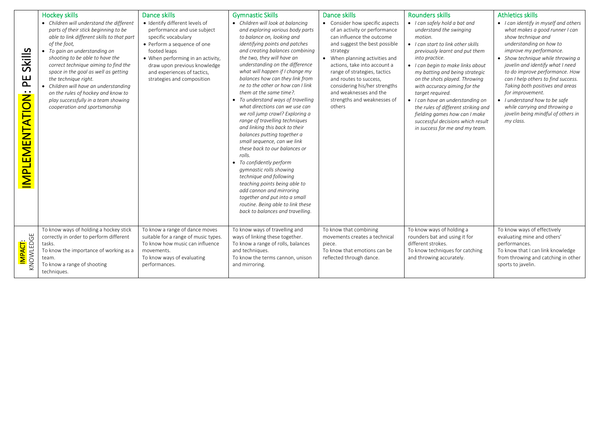|                                      | <b>Hockey skills</b>                                                                                                                                                                                                                                                                                                                                                                                                                                                              | Dance skills                                                                                                                                                                                                                                                          | <b>Gymnastic Skills</b>                                                                                                                                                                                                                                                                                                                                                                                                                                                                                                                                                                                                                                                                                                                                                                                                                                                                                                          | Dance skills                                                                                                                                                                                                                                                                                                                                                               | <b>Rounders skills</b>                                                                                                                                                                                                                                                                                                                                                                                                                                                                                       | <b>Athletics skills</b>                                                                                                                                                                                                                                                                                                                                                                                                                                                          |
|--------------------------------------|-----------------------------------------------------------------------------------------------------------------------------------------------------------------------------------------------------------------------------------------------------------------------------------------------------------------------------------------------------------------------------------------------------------------------------------------------------------------------------------|-----------------------------------------------------------------------------------------------------------------------------------------------------------------------------------------------------------------------------------------------------------------------|----------------------------------------------------------------------------------------------------------------------------------------------------------------------------------------------------------------------------------------------------------------------------------------------------------------------------------------------------------------------------------------------------------------------------------------------------------------------------------------------------------------------------------------------------------------------------------------------------------------------------------------------------------------------------------------------------------------------------------------------------------------------------------------------------------------------------------------------------------------------------------------------------------------------------------|----------------------------------------------------------------------------------------------------------------------------------------------------------------------------------------------------------------------------------------------------------------------------------------------------------------------------------------------------------------------------|--------------------------------------------------------------------------------------------------------------------------------------------------------------------------------------------------------------------------------------------------------------------------------------------------------------------------------------------------------------------------------------------------------------------------------------------------------------------------------------------------------------|----------------------------------------------------------------------------------------------------------------------------------------------------------------------------------------------------------------------------------------------------------------------------------------------------------------------------------------------------------------------------------------------------------------------------------------------------------------------------------|
| Skills<br>E<br><b>MPLEMENTATION:</b> | • Children will understand the different<br>parts of their stick beginning to be<br>able to link different skills to that part<br>of the foot,<br>• To gain an understanding on<br>shooting to be able to have the<br>correct technique aiming to find the<br>space in the goal as well as getting<br>the technique right.<br>• Children will have an understanding<br>on the rules of hockey and know to<br>play successfully in a team showing<br>cooperation and sportsmanship | · Identify different levels of<br>performance and use subject<br>specific vocabulary<br>• Perform a sequence of one<br>footed leaps<br>• When performing in an activity,<br>draw upon previous knowledge<br>and experiences of tactics,<br>strategies and composition | • Children will look at balancing<br>and exploring various body parts<br>to balance on, looking and<br>identifying points and patches<br>and creating balances combining<br>the two, they will have an<br>understanding on the difference<br>what will happen if I change my<br>balances how can they link from<br>ne to the other or how can I link<br>them at the same time?.<br>• To understand ways of travelling<br>what directions can we use can<br>we roll jump crawl? Exploring a<br>range of travelling techniques<br>and linking this back to their<br>balances putting together a<br>small sequence, can we link<br>these back to our balances or<br>rolls.<br>• To confidently perform<br>gymnastic rolls showing<br>technique and following<br>teaching points being able to<br>add cannon and mirroring<br>together and put into a small<br>routine. Being able to link these<br>back to balances and travelling. | • Consider how specific aspects<br>of an activity or performance<br>can influence the outcome<br>and suggest the best possible<br>strategy<br>• When planning activities and<br>actions, take into account a<br>range of strategies, tactics<br>and routes to success,<br>considering his/her strengths<br>and weaknesses and the<br>strengths and weaknesses of<br>others | • I can safely hold a bat and<br>understand the swinging<br>motion.<br>• I can start to link other skills<br>previously learnt and put them<br>into practice.<br>• I can begin to make links about<br>my batting and being strategic<br>on the shots played. Throwing<br>with accuracy aiming for the<br>target required.<br>• I can have an understanding on<br>the rules of different striking and<br>fielding games how can I make<br>successful decisions which result<br>in success for me and my team. | • I can identify in myself and others<br>what makes a good runner I can<br>show technique and<br>understanding on how to<br>improve my performance.<br>• Show technique while throwing a<br>javelin and identify what I need<br>to do improve performance. How<br>can I help others to find success.<br>Taking both positives and areas<br>for improvement.<br>• I understand how to be safe<br>while carrying and throwing a<br>javelin being mindful of others in<br>my class. |
| I <mark>mpact</mark> :<br>Knowledge  | To know ways of holding a hockey stick<br>correctly in order to perform different<br>tasks.<br>To know the importance of working as a<br>team.<br>To know a range of shooting<br>techniques.                                                                                                                                                                                                                                                                                      | To know a range of dance moves<br>suitable for a range of music types.<br>To know how music can influence<br>movements.<br>To know ways of evaluating<br>performances.                                                                                                | To know ways of travelling and<br>ways of linking these together.<br>To know a range of rolls, balances<br>and techniques.<br>To know the terms cannon, unison<br>and mirroring.                                                                                                                                                                                                                                                                                                                                                                                                                                                                                                                                                                                                                                                                                                                                                 | To know that combining<br>movements creates a technical<br>piece.<br>To know that emotions can be<br>reflected through dance.                                                                                                                                                                                                                                              | To know ways of holding a<br>rounders bat and using it for<br>different strokes.<br>To know techniques for catching<br>and throwing accurately.                                                                                                                                                                                                                                                                                                                                                              | To know ways of effectively<br>evaluating mine and others'<br>performances.<br>To know that I can link knowledge<br>from throwing and catching in other<br>sports to javelin.                                                                                                                                                                                                                                                                                                    |